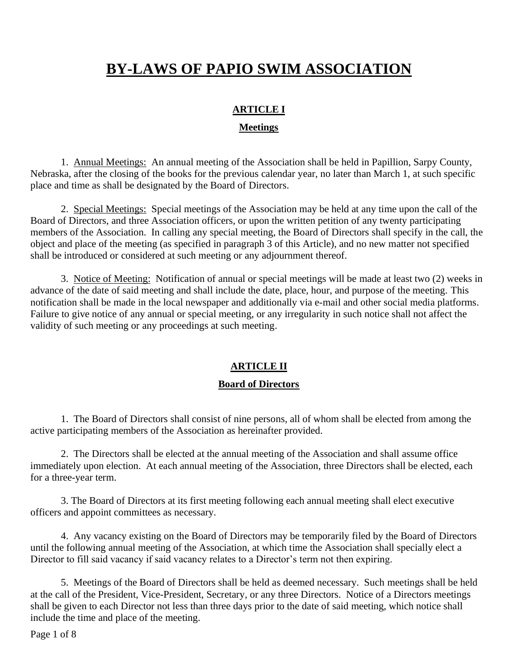# **BY-LAWS OF PAPIO SWIM ASSOCIATION**

# **ARTICLE I**

## **Meetings**

1. Annual Meetings: An annual meeting of the Association shall be held in Papillion, Sarpy County, Nebraska, after the closing of the books for the previous calendar year, no later than March 1, at such specific place and time as shall be designated by the Board of Directors.

2. Special Meetings: Special meetings of the Association may be held at any time upon the call of the Board of Directors, and three Association officers, or upon the written petition of any twenty participating members of the Association. In calling any special meeting, the Board of Directors shall specify in the call, the object and place of the meeting (as specified in paragraph 3 of this Article), and no new matter not specified shall be introduced or considered at such meeting or any adjournment thereof.

3. Notice of Meeting: Notification of annual or special meetings will be made at least two (2) weeks in advance of the date of said meeting and shall include the date, place, hour, and purpose of the meeting. This notification shall be made in the local newspaper and additionally via e-mail and other social media platforms. Failure to give notice of any annual or special meeting, or any irregularity in such notice shall not affect the validity of such meeting or any proceedings at such meeting.

# **ARTICLE II**

## **Board of Directors**

1. The Board of Directors shall consist of nine persons, all of whom shall be elected from among the active participating members of the Association as hereinafter provided.

2. The Directors shall be elected at the annual meeting of the Association and shall assume office immediately upon election. At each annual meeting of the Association, three Directors shall be elected, each for a three-year term.

3. The Board of Directors at its first meeting following each annual meeting shall elect executive officers and appoint committees as necessary.

4. Any vacancy existing on the Board of Directors may be temporarily filed by the Board of Directors until the following annual meeting of the Association, at which time the Association shall specially elect a Director to fill said vacancy if said vacancy relates to a Director's term not then expiring.

5. Meetings of the Board of Directors shall be held as deemed necessary. Such meetings shall be held at the call of the President, Vice-President, Secretary, or any three Directors. Notice of a Directors meetings shall be given to each Director not less than three days prior to the date of said meeting, which notice shall include the time and place of the meeting.

Page 1 of 8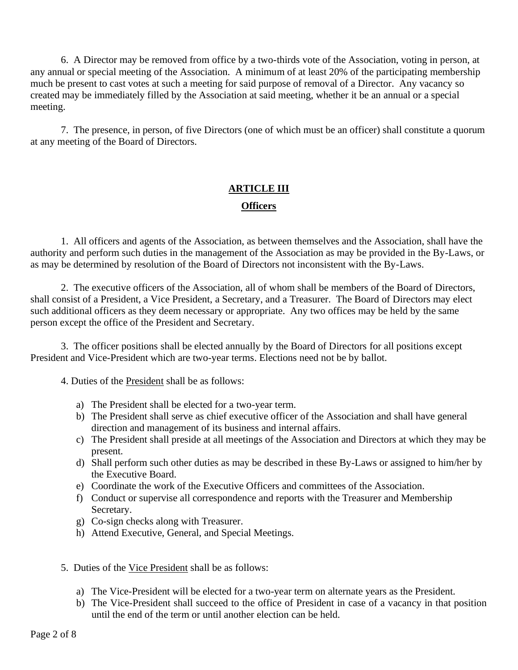6. A Director may be removed from office by a two-thirds vote of the Association, voting in person, at any annual or special meeting of the Association. A minimum of at least 20% of the participating membership much be present to cast votes at such a meeting for said purpose of removal of a Director. Any vacancy so created may be immediately filled by the Association at said meeting, whether it be an annual or a special meeting.

7. The presence, in person, of five Directors (one of which must be an officer) shall constitute a quorum at any meeting of the Board of Directors.

# **ARTICLE III**

#### **Officers**

1. All officers and agents of the Association, as between themselves and the Association, shall have the authority and perform such duties in the management of the Association as may be provided in the By-Laws, or as may be determined by resolution of the Board of Directors not inconsistent with the By-Laws.

2. The executive officers of the Association, all of whom shall be members of the Board of Directors, shall consist of a President, a Vice President, a Secretary, and a Treasurer. The Board of Directors may elect such additional officers as they deem necessary or appropriate. Any two offices may be held by the same person except the office of the President and Secretary.

3. The officer positions shall be elected annually by the Board of Directors for all positions except President and Vice-President which are two-year terms. Elections need not be by ballot.

4. Duties of the President shall be as follows:

- a) The President shall be elected for a two-year term.
- b) The President shall serve as chief executive officer of the Association and shall have general direction and management of its business and internal affairs.
- c) The President shall preside at all meetings of the Association and Directors at which they may be present.
- d) Shall perform such other duties as may be described in these By-Laws or assigned to him/her by the Executive Board.
- e) Coordinate the work of the Executive Officers and committees of the Association.
- f) Conduct or supervise all correspondence and reports with the Treasurer and Membership Secretary.
- g) Co-sign checks along with Treasurer.
- h) Attend Executive, General, and Special Meetings.
- 5. Duties of the Vice President shall be as follows:
	- a) The Vice-President will be elected for a two-year term on alternate years as the President.
	- b) The Vice-President shall succeed to the office of President in case of a vacancy in that position until the end of the term or until another election can be held.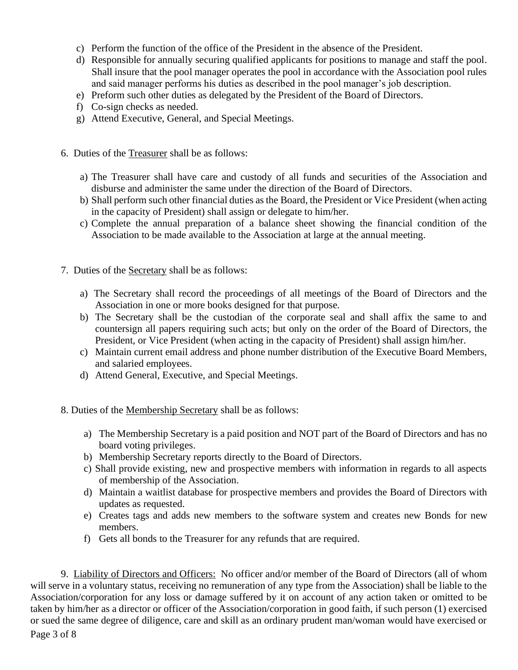- c) Perform the function of the office of the President in the absence of the President.
- d) Responsible for annually securing qualified applicants for positions to manage and staff the pool. Shall insure that the pool manager operates the pool in accordance with the Association pool rules and said manager performs his duties as described in the pool manager's job description.
- e) Preform such other duties as delegated by the President of the Board of Directors.
- f) Co-sign checks as needed.
- g) Attend Executive, General, and Special Meetings.
- 6. Duties of the Treasurer shall be as follows:
	- a) The Treasurer shall have care and custody of all funds and securities of the Association and disburse and administer the same under the direction of the Board of Directors.
	- b) Shall perform such other financial duties as the Board, the President or Vice President (when acting in the capacity of President) shall assign or delegate to him/her.
	- c) Complete the annual preparation of a balance sheet showing the financial condition of the Association to be made available to the Association at large at the annual meeting.
- 7. Duties of the Secretary shall be as follows:
	- a) The Secretary shall record the proceedings of all meetings of the Board of Directors and the Association in one or more books designed for that purpose.
	- b) The Secretary shall be the custodian of the corporate seal and shall affix the same to and countersign all papers requiring such acts; but only on the order of the Board of Directors, the President, or Vice President (when acting in the capacity of President) shall assign him/her.
	- c) Maintain current email address and phone number distribution of the Executive Board Members, and salaried employees.
	- d) Attend General, Executive, and Special Meetings.
- 8. Duties of the Membership Secretary shall be as follows:
	- a) The Membership Secretary is a paid position and NOT part of the Board of Directors and has no board voting privileges.
	- b) Membership Secretary reports directly to the Board of Directors.
	- c) Shall provide existing, new and prospective members with information in regards to all aspects of membership of the Association.
	- d) Maintain a waitlist database for prospective members and provides the Board of Directors with updates as requested.
	- e) Creates tags and adds new members to the software system and creates new Bonds for new members.
	- f) Gets all bonds to the Treasurer for any refunds that are required.

9. Liability of Directors and Officers: No officer and/or member of the Board of Directors (all of whom will serve in a voluntary status, receiving no remuneration of any type from the Association) shall be liable to the Association/corporation for any loss or damage suffered by it on account of any action taken or omitted to be taken by him/her as a director or officer of the Association/corporation in good faith, if such person (1) exercised or sued the same degree of diligence, care and skill as an ordinary prudent man/woman would have exercised or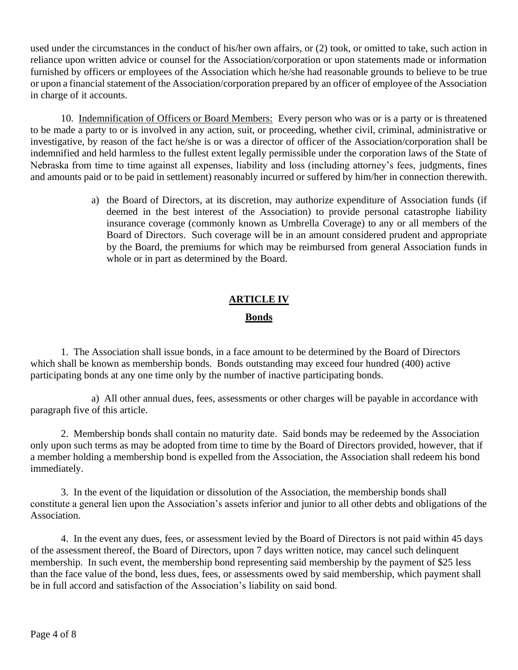used under the circumstances in the conduct of his/her own affairs, or (2) took, or omitted to take, such action in reliance upon written advice or counsel for the Association/corporation or upon statements made or information furnished by officers or employees of the Association which he/she had reasonable grounds to believe to be true or upon a financial statement of the Association/corporation prepared by an officer of employee of the Association in charge of it accounts.

10. Indemnification of Officers or Board Members: Every person who was or is a party or is threatened to be made a party to or is involved in any action, suit, or proceeding, whether civil, criminal, administrative or investigative, by reason of the fact he/she is or was a director of officer of the Association/corporation shall be indemnified and held harmless to the fullest extent legally permissible under the corporation laws of the State of Nebraska from time to time against all expenses, liability and loss (including attorney's fees, judgments, fines and amounts paid or to be paid in settlement) reasonably incurred or suffered by him/her in connection therewith.

> a) the Board of Directors, at its discretion, may authorize expenditure of Association funds (if deemed in the best interest of the Association) to provide personal catastrophe liability insurance coverage (commonly known as Umbrella Coverage) to any or all members of the Board of Directors. Such coverage will be in an amount considered prudent and appropriate by the Board, the premiums for which may be reimbursed from general Association funds in whole or in part as determined by the Board.

# **ARTICLE IV**

## **Bonds**

1. The Association shall issue bonds, in a face amount to be determined by the Board of Directors which shall be known as membership bonds. Bonds outstanding may exceed four hundred (400) active participating bonds at any one time only by the number of inactive participating bonds.

a) All other annual dues, fees, assessments or other charges will be payable in accordance with paragraph five of this article.

2. Membership bonds shall contain no maturity date. Said bonds may be redeemed by the Association only upon such terms as may be adopted from time to time by the Board of Directors provided, however, that if a member holding a membership bond is expelled from the Association, the Association shall redeem his bond immediately.

3. In the event of the liquidation or dissolution of the Association, the membership bonds shall constitute a general lien upon the Association's assets inferior and junior to all other debts and obligations of the Association.

4. In the event any dues, fees, or assessment levied by the Board of Directors is not paid within 45 days of the assessment thereof, the Board of Directors, upon 7 days written notice, may cancel such delinquent membership. In such event, the membership bond representing said membership by the payment of \$25 less than the face value of the bond, less dues, fees, or assessments owed by said membership, which payment shall be in full accord and satisfaction of the Association's liability on said bond.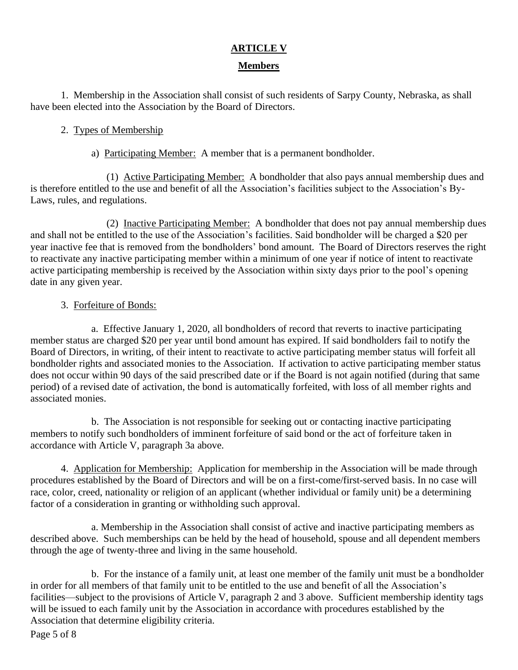# **ARTICLE V**

## **Members**

1. Membership in the Association shall consist of such residents of Sarpy County, Nebraska, as shall have been elected into the Association by the Board of Directors.

## 2. Types of Membership

a) Participating Member: A member that is a permanent bondholder.

(1) Active Participating Member: A bondholder that also pays annual membership dues and is therefore entitled to the use and benefit of all the Association's facilities subject to the Association's By-Laws, rules, and regulations.

(2) Inactive Participating Member: A bondholder that does not pay annual membership dues and shall not be entitled to the use of the Association's facilities. Said bondholder will be charged a \$20 per year inactive fee that is removed from the bondholders' bond amount. The Board of Directors reserves the right to reactivate any inactive participating member within a minimum of one year if notice of intent to reactivate active participating membership is received by the Association within sixty days prior to the pool's opening date in any given year.

## 3. Forfeiture of Bonds:

a. Effective January 1, 2020, all bondholders of record that reverts to inactive participating member status are charged \$20 per year until bond amount has expired. If said bondholders fail to notify the Board of Directors, in writing, of their intent to reactivate to active participating member status will forfeit all bondholder rights and associated monies to the Association. If activation to active participating member status does not occur within 90 days of the said prescribed date or if the Board is not again notified (during that same period) of a revised date of activation, the bond is automatically forfeited, with loss of all member rights and associated monies.

b. The Association is not responsible for seeking out or contacting inactive participating members to notify such bondholders of imminent forfeiture of said bond or the act of forfeiture taken in accordance with Article V, paragraph 3a above.

4. Application for Membership: Application for membership in the Association will be made through procedures established by the Board of Directors and will be on a first-come/first-served basis. In no case will race, color, creed, nationality or religion of an applicant (whether individual or family unit) be a determining factor of a consideration in granting or withholding such approval.

a. Membership in the Association shall consist of active and inactive participating members as described above. Such memberships can be held by the head of household, spouse and all dependent members through the age of twenty-three and living in the same household.

b. For the instance of a family unit, at least one member of the family unit must be a bondholder in order for all members of that family unit to be entitled to the use and benefit of all the Association's facilities—subject to the provisions of Article V, paragraph 2 and 3 above. Sufficient membership identity tags will be issued to each family unit by the Association in accordance with procedures established by the Association that determine eligibility criteria.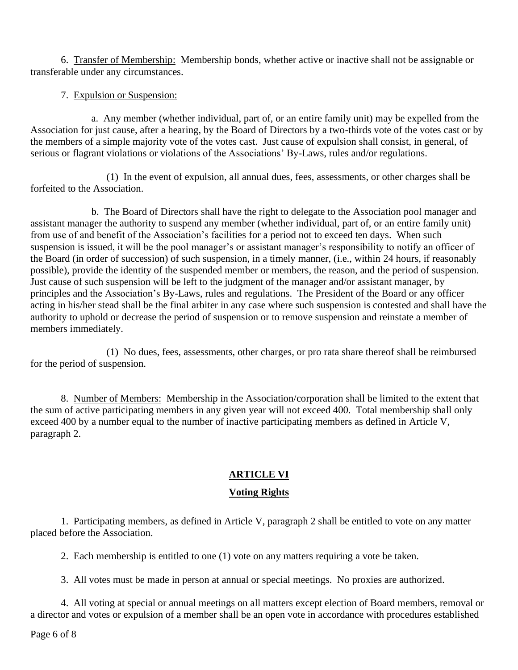6. Transfer of Membership: Membership bonds, whether active or inactive shall not be assignable or transferable under any circumstances.

## 7. Expulsion or Suspension:

a. Any member (whether individual, part of, or an entire family unit) may be expelled from the Association for just cause, after a hearing, by the Board of Directors by a two-thirds vote of the votes cast or by the members of a simple majority vote of the votes cast. Just cause of expulsion shall consist, in general, of serious or flagrant violations or violations of the Associations' By-Laws, rules and/or regulations.

(1) In the event of expulsion, all annual dues, fees, assessments, or other charges shall be forfeited to the Association.

b. The Board of Directors shall have the right to delegate to the Association pool manager and assistant manager the authority to suspend any member (whether individual, part of, or an entire family unit) from use of and benefit of the Association's facilities for a period not to exceed ten days. When such suspension is issued, it will be the pool manager's or assistant manager's responsibility to notify an officer of the Board (in order of succession) of such suspension, in a timely manner, (i.e., within 24 hours, if reasonably possible), provide the identity of the suspended member or members, the reason, and the period of suspension. Just cause of such suspension will be left to the judgment of the manager and/or assistant manager, by principles and the Association's By-Laws, rules and regulations. The President of the Board or any officer acting in his/her stead shall be the final arbiter in any case where such suspension is contested and shall have the authority to uphold or decrease the period of suspension or to remove suspension and reinstate a member of members immediately.

(1) No dues, fees, assessments, other charges, or pro rata share thereof shall be reimbursed for the period of suspension.

8. Number of Members: Membership in the Association/corporation shall be limited to the extent that the sum of active participating members in any given year will not exceed 400. Total membership shall only exceed 400 by a number equal to the number of inactive participating members as defined in Article V, paragraph 2.

# **ARTICLE VI**

# **Voting Rights**

1. Participating members, as defined in Article V, paragraph 2 shall be entitled to vote on any matter placed before the Association.

2. Each membership is entitled to one (1) vote on any matters requiring a vote be taken.

3. All votes must be made in person at annual or special meetings. No proxies are authorized.

4. All voting at special or annual meetings on all matters except election of Board members, removal or a director and votes or expulsion of a member shall be an open vote in accordance with procedures established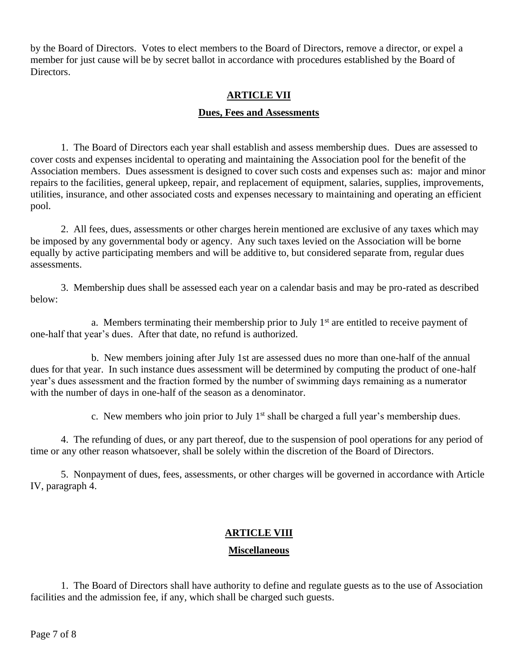by the Board of Directors. Votes to elect members to the Board of Directors, remove a director, or expel a member for just cause will be by secret ballot in accordance with procedures established by the Board of Directors.

## **ARTICLE VII**

#### **Dues, Fees and Assessments**

1. The Board of Directors each year shall establish and assess membership dues. Dues are assessed to cover costs and expenses incidental to operating and maintaining the Association pool for the benefit of the Association members. Dues assessment is designed to cover such costs and expenses such as: major and minor repairs to the facilities, general upkeep, repair, and replacement of equipment, salaries, supplies, improvements, utilities, insurance, and other associated costs and expenses necessary to maintaining and operating an efficient pool.

2. All fees, dues, assessments or other charges herein mentioned are exclusive of any taxes which may be imposed by any governmental body or agency. Any such taxes levied on the Association will be borne equally by active participating members and will be additive to, but considered separate from, regular dues assessments.

3. Membership dues shall be assessed each year on a calendar basis and may be pro-rated as described below:

a. Members terminating their membership prior to July  $1<sup>st</sup>$  are entitled to receive payment of one-half that year's dues. After that date, no refund is authorized.

b. New members joining after July 1st are assessed dues no more than one-half of the annual dues for that year. In such instance dues assessment will be determined by computing the product of one-half year's dues assessment and the fraction formed by the number of swimming days remaining as a numerator with the number of days in one-half of the season as a denominator.

c. New members who join prior to July  $1<sup>st</sup>$  shall be charged a full year's membership dues.

4. The refunding of dues, or any part thereof, due to the suspension of pool operations for any period of time or any other reason whatsoever, shall be solely within the discretion of the Board of Directors.

5. Nonpayment of dues, fees, assessments, or other charges will be governed in accordance with Article IV, paragraph 4.

# **ARTICLE VIII**

## **Miscellaneous**

1. The Board of Directors shall have authority to define and regulate guests as to the use of Association facilities and the admission fee, if any, which shall be charged such guests.